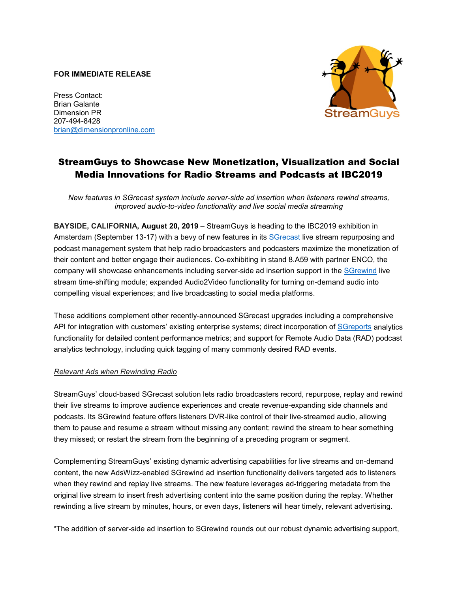### **FOR IMMEDIATE RELEASE**

Press Contact: Brian Galante Dimension PR 207-494-8428 [brian@dimensionpronline.com](mailto:brian@dimensionpronline.com)



# StreamGuys to Showcase New Monetization, Visualization and Social Media Innovations for Radio Streams and Podcasts at IBC2019

*New features in SGrecast system include server-side ad insertion when listeners rewind streams, improved audio-to-video functionality and live social media streaming*

**BAYSIDE, CALIFORNIA, August 20, 2019** – StreamGuys is heading to the IBC2019 exhibition in Amsterdam (September 13-17) with a bevy of new features in its [SGrecast](https://www.streamguys.com/services/sgtools/sgrecast) live stream repurposing and podcast management system that help radio broadcasters and podcasters maximize the monetization of their content and better engage their audiences. Co-exhibiting in stand 8.A59 with partner ENCO, the company will showcase enhancements including server-side ad insertion support in the [SGrewind](https://www.streamguys.com/services/sgtools/sgrewind) live stream time-shifting module; expanded Audio2Video functionality for turning on-demand audio into compelling visual experiences; and live broadcasting to social media platforms.

These additions complement other recently-announced SGrecast upgrades including a comprehensive API for integration with customers' existing enterprise systems; direct incorporation of [SGreports](https://www.streamguys.com/services/analytics/sgreports) analytics functionality for detailed content performance metrics; and support for Remote Audio Data (RAD) podcast analytics technology, including quick tagging of many commonly desired RAD events.

## *Relevant Ads when Rewinding Radio*

StreamGuys' cloud-based SGrecast solution lets radio broadcasters record, repurpose, replay and rewind their live streams to improve audience experiences and create revenue-expanding side channels and podcasts. Its SGrewind feature offers listeners DVR-like control of their live-streamed audio, allowing them to pause and resume a stream without missing any content; rewind the stream to hear something they missed; or restart the stream from the beginning of a preceding program or segment.

Complementing StreamGuys' existing dynamic advertising capabilities for live streams and on-demand content, the new AdsWizz-enabled SGrewind ad insertion functionality delivers targeted ads to listeners when they rewind and replay live streams. The new feature leverages ad-triggering metadata from the original live stream to insert fresh advertising content into the same position during the replay. Whether rewinding a live stream by minutes, hours, or even days, listeners will hear timely, relevant advertising.

"The addition of server-side ad insertion to SGrewind rounds out our robust dynamic advertising support,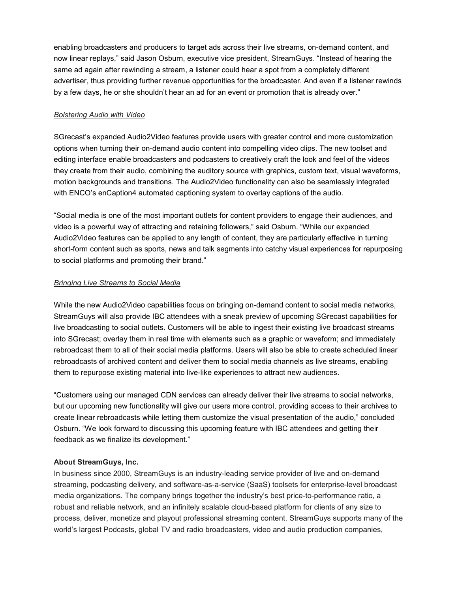enabling broadcasters and producers to target ads across their live streams, on-demand content, and now linear replays," said Jason Osburn, executive vice president, StreamGuys. "Instead of hearing the same ad again after rewinding a stream, a listener could hear a spot from a completely different advertiser, thus providing further revenue opportunities for the broadcaster. And even if a listener rewinds by a few days, he or she shouldn't hear an ad for an event or promotion that is already over."

### *Bolstering Audio with Video*

SGrecast's expanded Audio2Video features provide users with greater control and more customization options when turning their on-demand audio content into compelling video clips. The new toolset and editing interface enable broadcasters and podcasters to creatively craft the look and feel of the videos they create from their audio, combining the auditory source with graphics, custom text, visual waveforms, motion backgrounds and transitions. The Audio2Video functionality can also be seamlessly integrated with ENCO's enCaption4 automated captioning system to overlay captions of the audio.

"Social media is one of the most important outlets for content providers to engage their audiences, and video is a powerful way of attracting and retaining followers," said Osburn. "While our expanded Audio2Video features can be applied to any length of content, they are particularly effective in turning short-form content such as sports, news and talk segments into catchy visual experiences for repurposing to social platforms and promoting their brand."

### *Bringing Live Streams to Social Media*

While the new Audio2Video capabilities focus on bringing on-demand content to social media networks, StreamGuys will also provide IBC attendees with a sneak preview of upcoming SGrecast capabilities for live broadcasting to social outlets. Customers will be able to ingest their existing live broadcast streams into SGrecast; overlay them in real time with elements such as a graphic or waveform; and immediately rebroadcast them to all of their social media platforms. Users will also be able to create scheduled linear rebroadcasts of archived content and deliver them to social media channels as live streams, enabling them to repurpose existing material into live-like experiences to attract new audiences.

"Customers using our managed CDN services can already deliver their live streams to social networks, but our upcoming new functionality will give our users more control, providing access to their archives to create linear rebroadcasts while letting them customize the visual presentation of the audio," concluded Osburn. "We look forward to discussing this upcoming feature with IBC attendees and getting their feedback as we finalize its development."

## **About StreamGuys, Inc.**

In business since 2000, StreamGuys is an industry-leading service provider of live and on-demand streaming, podcasting delivery, and software-as-a-service (SaaS) toolsets for enterprise-level broadcast media organizations. The company brings together the industry's best price-to-performance ratio, a robust and reliable network, and an infinitely scalable cloud-based platform for clients of any size to process, deliver, monetize and playout professional streaming content. StreamGuys supports many of the world's largest Podcasts, global TV and radio broadcasters, video and audio production companies,